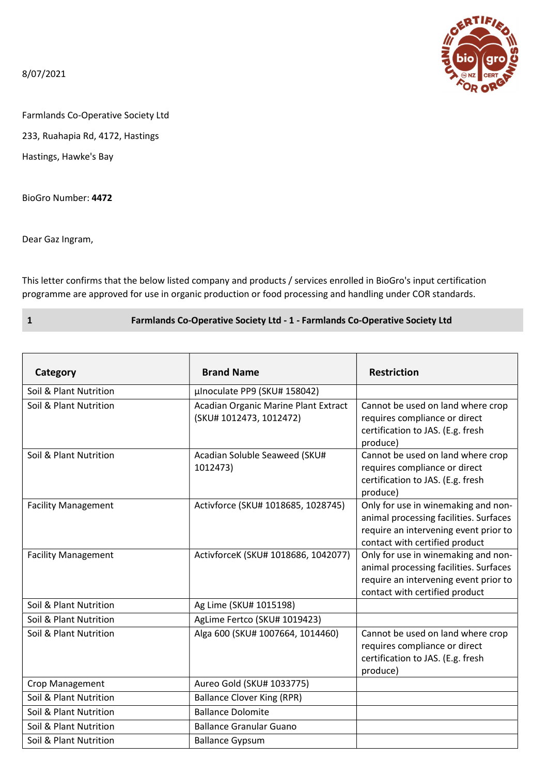8/07/2021



Farmlands Co-Operative Society Ltd

233, Ruahapia Rd, 4172, Hastings

Hastings, Hawke's Bay

BioGro Number: 4472

Dear Gaz Ingram,

This letter confirms that the below listed company and products / services enrolled in BioGro's input certification programme are approved for use in organic production or food processing and handling under COR standards.

1 Farmlands Co-Operative Society Ltd - 1 - Farmlands Co-Operative Society Ltd

| Category                   | <b>Brand Name</b>                                               | <b>Restriction</b>                                                                                                                                       |
|----------------------------|-----------------------------------------------------------------|----------------------------------------------------------------------------------------------------------------------------------------------------------|
| Soil & Plant Nutrition     | µInoculate PP9 (SKU# 158042)                                    |                                                                                                                                                          |
| Soil & Plant Nutrition     | Acadian Organic Marine Plant Extract<br>(SKU# 1012473, 1012472) | Cannot be used on land where crop<br>requires compliance or direct<br>certification to JAS. (E.g. fresh<br>produce)                                      |
| Soil & Plant Nutrition     | Acadian Soluble Seaweed (SKU#<br>1012473)                       | Cannot be used on land where crop<br>requires compliance or direct<br>certification to JAS. (E.g. fresh<br>produce)                                      |
| <b>Facility Management</b> | Activforce (SKU# 1018685, 1028745)                              | Only for use in winemaking and non-<br>animal processing facilities. Surfaces<br>require an intervening event prior to<br>contact with certified product |
| <b>Facility Management</b> | ActivforceK (SKU# 1018686, 1042077)                             | Only for use in winemaking and non-<br>animal processing facilities. Surfaces<br>require an intervening event prior to<br>contact with certified product |
| Soil & Plant Nutrition     | Ag Lime (SKU# 1015198)                                          |                                                                                                                                                          |
| Soil & Plant Nutrition     | AgLime Fertco (SKU# 1019423)                                    |                                                                                                                                                          |
| Soil & Plant Nutrition     | Alga 600 (SKU# 1007664, 1014460)                                | Cannot be used on land where crop<br>requires compliance or direct<br>certification to JAS. (E.g. fresh<br>produce)                                      |
| Crop Management            | Aureo Gold (SKU# 1033775)                                       |                                                                                                                                                          |
| Soil & Plant Nutrition     | <b>Ballance Clover King (RPR)</b>                               |                                                                                                                                                          |
| Soil & Plant Nutrition     | <b>Ballance Dolomite</b>                                        |                                                                                                                                                          |
| Soil & Plant Nutrition     | <b>Ballance Granular Guano</b>                                  |                                                                                                                                                          |
| Soil & Plant Nutrition     | <b>Ballance Gypsum</b>                                          |                                                                                                                                                          |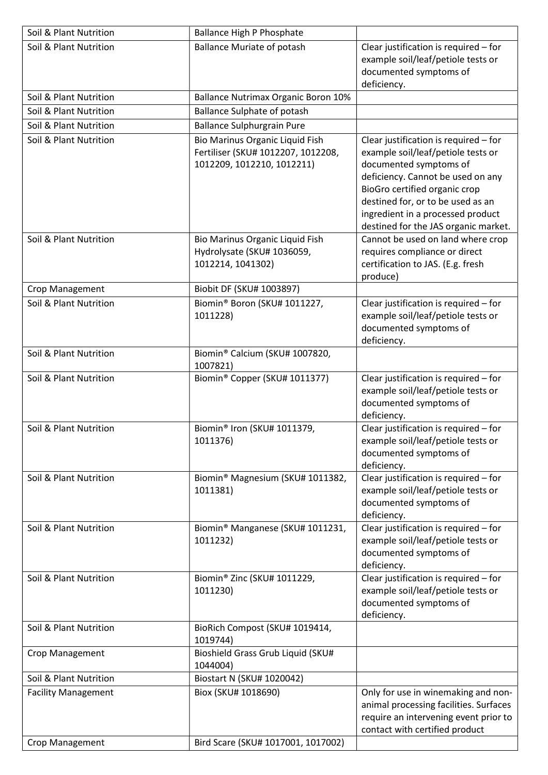| Soil & Plant Nutrition     | Ballance High P Phosphate                                                                           |                                                                                                                                                                                                                                                                                               |
|----------------------------|-----------------------------------------------------------------------------------------------------|-----------------------------------------------------------------------------------------------------------------------------------------------------------------------------------------------------------------------------------------------------------------------------------------------|
| Soil & Plant Nutrition     | <b>Ballance Muriate of potash</b>                                                                   | Clear justification is required - for<br>example soil/leaf/petiole tests or<br>documented symptoms of<br>deficiency.                                                                                                                                                                          |
| Soil & Plant Nutrition     | <b>Ballance Nutrimax Organic Boron 10%</b>                                                          |                                                                                                                                                                                                                                                                                               |
| Soil & Plant Nutrition     | <b>Ballance Sulphate of potash</b>                                                                  |                                                                                                                                                                                                                                                                                               |
| Soil & Plant Nutrition     | <b>Ballance Sulphurgrain Pure</b>                                                                   |                                                                                                                                                                                                                                                                                               |
| Soil & Plant Nutrition     | Bio Marinus Organic Liquid Fish<br>Fertiliser (SKU# 1012207, 1012208,<br>1012209, 1012210, 1012211) | Clear justification is required - for<br>example soil/leaf/petiole tests or<br>documented symptoms of<br>deficiency. Cannot be used on any<br>BioGro certified organic crop<br>destined for, or to be used as an<br>ingredient in a processed product<br>destined for the JAS organic market. |
| Soil & Plant Nutrition     | Bio Marinus Organic Liquid Fish<br>Hydrolysate (SKU# 1036059,<br>1012214, 1041302)                  | Cannot be used on land where crop<br>requires compliance or direct<br>certification to JAS. (E.g. fresh<br>produce)                                                                                                                                                                           |
| Crop Management            | Biobit DF (SKU# 1003897)                                                                            |                                                                                                                                                                                                                                                                                               |
| Soil & Plant Nutrition     | Biomin® Boron (SKU# 1011227,<br>1011228)                                                            | Clear justification is required - for<br>example soil/leaf/petiole tests or<br>documented symptoms of<br>deficiency.                                                                                                                                                                          |
| Soil & Plant Nutrition     | Biomin® Calcium (SKU# 1007820,<br>1007821)                                                          |                                                                                                                                                                                                                                                                                               |
| Soil & Plant Nutrition     | Biomin® Copper (SKU# 1011377)                                                                       | Clear justification is required - for<br>example soil/leaf/petiole tests or<br>documented symptoms of<br>deficiency.                                                                                                                                                                          |
| Soil & Plant Nutrition     | Biomin® Iron (SKU# 1011379,<br>1011376)                                                             | Clear justification is required - for<br>example soil/leaf/petiole tests or<br>documented symptoms of<br>deficiency.                                                                                                                                                                          |
| Soil & Plant Nutrition     | Biomin® Magnesium (SKU# 1011382,<br>1011381)                                                        | Clear justification is required - for<br>example soil/leaf/petiole tests or<br>documented symptoms of<br>deficiency.                                                                                                                                                                          |
| Soil & Plant Nutrition     | Biomin® Manganese (SKU# 1011231,<br>1011232)                                                        | Clear justification is required - for<br>example soil/leaf/petiole tests or<br>documented symptoms of<br>deficiency.                                                                                                                                                                          |
| Soil & Plant Nutrition     | Biomin® Zinc (SKU# 1011229,<br>1011230)                                                             | Clear justification is required - for<br>example soil/leaf/petiole tests or<br>documented symptoms of<br>deficiency.                                                                                                                                                                          |
| Soil & Plant Nutrition     | BioRich Compost (SKU# 1019414,<br>1019744)                                                          |                                                                                                                                                                                                                                                                                               |
| Crop Management            | Bioshield Grass Grub Liquid (SKU#<br>1044004)                                                       |                                                                                                                                                                                                                                                                                               |
| Soil & Plant Nutrition     | Biostart N (SKU# 1020042)                                                                           |                                                                                                                                                                                                                                                                                               |
| <b>Facility Management</b> | Biox (SKU# 1018690)                                                                                 | Only for use in winemaking and non-<br>animal processing facilities. Surfaces<br>require an intervening event prior to<br>contact with certified product                                                                                                                                      |
| Crop Management            | Bird Scare (SKU# 1017001, 1017002)                                                                  |                                                                                                                                                                                                                                                                                               |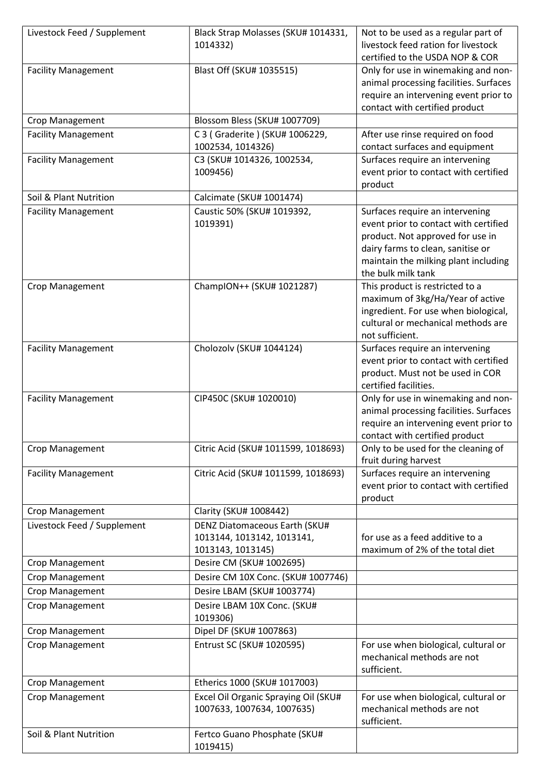| Livestock Feed / Supplement | Black Strap Molasses (SKU# 1014331,  | Not to be used as a regular part of                                      |
|-----------------------------|--------------------------------------|--------------------------------------------------------------------------|
|                             | 1014332)                             | livestock feed ration for livestock                                      |
|                             |                                      | certified to the USDA NOP & COR                                          |
| <b>Facility Management</b>  | Blast Off (SKU# 1035515)             | Only for use in winemaking and non-                                      |
|                             |                                      | animal processing facilities. Surfaces                                   |
|                             |                                      | require an intervening event prior to                                    |
|                             |                                      | contact with certified product                                           |
| Crop Management             | Blossom Bless (SKU# 1007709)         |                                                                          |
| <b>Facility Management</b>  | C 3 (Graderite) (SKU# 1006229,       | After use rinse required on food                                         |
|                             | 1002534, 1014326)                    | contact surfaces and equipment                                           |
| <b>Facility Management</b>  | C3 (SKU# 1014326, 1002534,           | Surfaces require an intervening                                          |
|                             | 1009456)                             | event prior to contact with certified                                    |
|                             |                                      | product                                                                  |
| Soil & Plant Nutrition      | Calcimate (SKU# 1001474)             |                                                                          |
| <b>Facility Management</b>  | Caustic 50% (SKU# 1019392,           | Surfaces require an intervening                                          |
|                             | 1019391)                             | event prior to contact with certified                                    |
|                             |                                      | product. Not approved for use in                                         |
|                             |                                      | dairy farms to clean, sanitise or                                        |
|                             |                                      | maintain the milking plant including                                     |
|                             |                                      | the bulk milk tank                                                       |
| <b>Crop Management</b>      | ChampION++ (SKU# 1021287)            | This product is restricted to a                                          |
|                             |                                      | maximum of 3kg/Ha/Year of active<br>ingredient. For use when biological, |
|                             |                                      | cultural or mechanical methods are                                       |
|                             |                                      | not sufficient.                                                          |
| <b>Facility Management</b>  | Cholozolv (SKU# 1044124)             | Surfaces require an intervening                                          |
|                             |                                      | event prior to contact with certified                                    |
|                             |                                      | product. Must not be used in COR                                         |
|                             |                                      | certified facilities.                                                    |
| <b>Facility Management</b>  | CIP450C (SKU# 1020010)               | Only for use in winemaking and non-                                      |
|                             |                                      | animal processing facilities. Surfaces                                   |
|                             |                                      | require an intervening event prior to                                    |
|                             |                                      | contact with certified product                                           |
| Crop Management             | Citric Acid (SKU# 1011599, 1018693)  | Only to be used for the cleaning of                                      |
|                             |                                      | fruit during harvest                                                     |
| <b>Facility Management</b>  | Citric Acid (SKU# 1011599, 1018693)  | Surfaces require an intervening                                          |
|                             |                                      | event prior to contact with certified                                    |
|                             |                                      | product                                                                  |
| Crop Management             | Clarity (SKU# 1008442)               |                                                                          |
| Livestock Feed / Supplement | <b>DENZ Diatomaceous Earth (SKU#</b> |                                                                          |
|                             | 1013144, 1013142, 1013141,           | for use as a feed additive to a                                          |
|                             | 1013143, 1013145)                    | maximum of 2% of the total diet                                          |
| Crop Management             | Desire CM (SKU# 1002695)             |                                                                          |
| Crop Management             | Desire CM 10X Conc. (SKU# 1007746)   |                                                                          |
| Crop Management             | Desire LBAM (SKU# 1003774)           |                                                                          |
| Crop Management             | Desire LBAM 10X Conc. (SKU#          |                                                                          |
|                             | 1019306)                             |                                                                          |
| Crop Management             | Dipel DF (SKU# 1007863)              |                                                                          |
| Crop Management             | Entrust SC (SKU# 1020595)            | For use when biological, cultural or                                     |
|                             |                                      | mechanical methods are not                                               |
|                             |                                      | sufficient.                                                              |
| Crop Management             | Etherics 1000 (SKU# 1017003)         |                                                                          |
| Crop Management             | Excel Oil Organic Spraying Oil (SKU# | For use when biological, cultural or                                     |
|                             | 1007633, 1007634, 1007635)           | mechanical methods are not                                               |
|                             |                                      | sufficient.                                                              |
| Soil & Plant Nutrition      | Fertco Guano Phosphate (SKU#         |                                                                          |
|                             | 1019415)                             |                                                                          |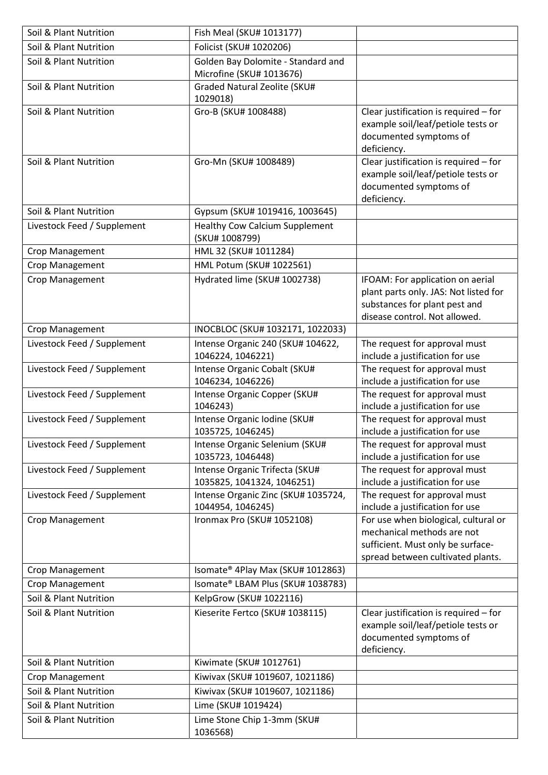| Soil & Plant Nutrition      | Fish Meal (SKU# 1013177)                                       |                                                                                                                                              |
|-----------------------------|----------------------------------------------------------------|----------------------------------------------------------------------------------------------------------------------------------------------|
| Soil & Plant Nutrition      | Folicist (SKU# 1020206)                                        |                                                                                                                                              |
| Soil & Plant Nutrition      | Golden Bay Dolomite - Standard and<br>Microfine (SKU# 1013676) |                                                                                                                                              |
| Soil & Plant Nutrition      | Graded Natural Zeolite (SKU#<br>1029018)                       |                                                                                                                                              |
| Soil & Plant Nutrition      | Gro-B (SKU# 1008488)                                           | Clear justification is required - for<br>example soil/leaf/petiole tests or<br>documented symptoms of<br>deficiency.                         |
| Soil & Plant Nutrition      | Gro-Mn (SKU# 1008489)                                          | Clear justification is required - for<br>example soil/leaf/petiole tests or<br>documented symptoms of<br>deficiency.                         |
| Soil & Plant Nutrition      | Gypsum (SKU# 1019416, 1003645)                                 |                                                                                                                                              |
| Livestock Feed / Supplement | <b>Healthy Cow Calcium Supplement</b><br>(SKU# 1008799)        |                                                                                                                                              |
| Crop Management             | HML 32 (SKU# 1011284)                                          |                                                                                                                                              |
| Crop Management             | HML Potum (SKU# 1022561)                                       |                                                                                                                                              |
| Crop Management             | Hydrated lime (SKU# 1002738)                                   | IFOAM: For application on aerial<br>plant parts only. JAS: Not listed for<br>substances for plant pest and<br>disease control. Not allowed.  |
| Crop Management             | INOCBLOC (SKU# 1032171, 1022033)                               |                                                                                                                                              |
| Livestock Feed / Supplement | Intense Organic 240 (SKU# 104622,<br>1046224, 1046221)         | The request for approval must<br>include a justification for use                                                                             |
| Livestock Feed / Supplement | Intense Organic Cobalt (SKU#<br>1046234, 1046226)              | The request for approval must<br>include a justification for use                                                                             |
| Livestock Feed / Supplement | Intense Organic Copper (SKU#<br>1046243)                       | The request for approval must<br>include a justification for use                                                                             |
| Livestock Feed / Supplement | Intense Organic Iodine (SKU#<br>1035725, 1046245)              | The request for approval must<br>include a justification for use                                                                             |
| Livestock Feed / Supplement | Intense Organic Selenium (SKU#<br>1035723, 1046448)            | The request for approval must<br>include a justification for use                                                                             |
| Livestock Feed / Supplement | Intense Organic Trifecta (SKU#<br>1035825, 1041324, 1046251)   | The request for approval must<br>include a justification for use                                                                             |
| Livestock Feed / Supplement | Intense Organic Zinc (SKU# 1035724,<br>1044954, 1046245)       | The request for approval must<br>include a justification for use                                                                             |
| Crop Management             | Ironmax Pro (SKU# 1052108)                                     | For use when biological, cultural or<br>mechanical methods are not<br>sufficient. Must only be surface-<br>spread between cultivated plants. |
| Crop Management             | Isomate® 4Play Max (SKU# 1012863)                              |                                                                                                                                              |
| Crop Management             | Isomate® LBAM Plus (SKU# 1038783)                              |                                                                                                                                              |
| Soil & Plant Nutrition      | KelpGrow (SKU# 1022116)                                        |                                                                                                                                              |
| Soil & Plant Nutrition      | Kieserite Fertco (SKU# 1038115)                                | Clear justification is required - for<br>example soil/leaf/petiole tests or<br>documented symptoms of<br>deficiency.                         |
| Soil & Plant Nutrition      | Kiwimate (SKU# 1012761)                                        |                                                                                                                                              |
| Crop Management             | Kiwivax (SKU# 1019607, 1021186)                                |                                                                                                                                              |
| Soil & Plant Nutrition      | Kiwivax (SKU# 1019607, 1021186)                                |                                                                                                                                              |
| Soil & Plant Nutrition      | Lime (SKU# 1019424)                                            |                                                                                                                                              |
| Soil & Plant Nutrition      | Lime Stone Chip 1-3mm (SKU#<br>1036568)                        |                                                                                                                                              |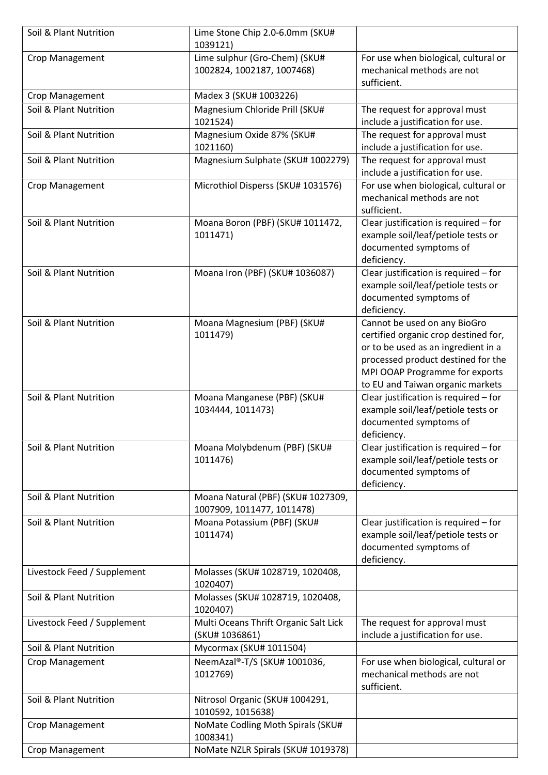| Soil & Plant Nutrition      | Lime Stone Chip 2.0-6.0mm (SKU#<br>1039121)                      |                                                                                                                                                                                                                         |
|-----------------------------|------------------------------------------------------------------|-------------------------------------------------------------------------------------------------------------------------------------------------------------------------------------------------------------------------|
| Crop Management             | Lime sulphur (Gro-Chem) (SKU#<br>1002824, 1002187, 1007468)      | For use when biological, cultural or<br>mechanical methods are not<br>sufficient.                                                                                                                                       |
| Crop Management             | Madex 3 (SKU# 1003226)                                           |                                                                                                                                                                                                                         |
| Soil & Plant Nutrition      | Magnesium Chloride Prill (SKU#                                   | The request for approval must                                                                                                                                                                                           |
|                             | 1021524)                                                         | include a justification for use.                                                                                                                                                                                        |
| Soil & Plant Nutrition      | Magnesium Oxide 87% (SKU#<br>1021160)                            | The request for approval must<br>include a justification for use.                                                                                                                                                       |
| Soil & Plant Nutrition      | Magnesium Sulphate (SKU# 1002279)                                | The request for approval must<br>include a justification for use.                                                                                                                                                       |
| Crop Management             | Microthiol Disperss (SKU# 1031576)                               | For use when biological, cultural or<br>mechanical methods are not<br>sufficient.                                                                                                                                       |
| Soil & Plant Nutrition      | Moana Boron (PBF) (SKU# 1011472,<br>1011471)                     | Clear justification is required - for<br>example soil/leaf/petiole tests or<br>documented symptoms of<br>deficiency.                                                                                                    |
| Soil & Plant Nutrition      | Moana Iron (PBF) (SKU# 1036087)                                  | Clear justification is required - for<br>example soil/leaf/petiole tests or<br>documented symptoms of<br>deficiency.                                                                                                    |
| Soil & Plant Nutrition      | Moana Magnesium (PBF) (SKU#<br>1011479)                          | Cannot be used on any BioGro<br>certified organic crop destined for,<br>or to be used as an ingredient in a<br>processed product destined for the<br>MPI OOAP Programme for exports<br>to EU and Taiwan organic markets |
|                             |                                                                  |                                                                                                                                                                                                                         |
| Soil & Plant Nutrition      | Moana Manganese (PBF) (SKU#<br>1034444, 1011473)                 | Clear justification is required - for<br>example soil/leaf/petiole tests or<br>documented symptoms of<br>deficiency.                                                                                                    |
| Soil & Plant Nutrition      | Moana Molybdenum (PBF) (SKU#<br>1011476)                         | Clear justification is required - for<br>example soil/leaf/petiole tests or<br>documented symptoms of<br>deficiency.                                                                                                    |
| Soil & Plant Nutrition      | Moana Natural (PBF) (SKU# 1027309,<br>1007909, 1011477, 1011478) |                                                                                                                                                                                                                         |
| Soil & Plant Nutrition      | Moana Potassium (PBF) (SKU#<br>1011474)                          | Clear justification is required - for<br>example soil/leaf/petiole tests or<br>documented symptoms of<br>deficiency.                                                                                                    |
| Livestock Feed / Supplement | Molasses (SKU# 1028719, 1020408,<br>1020407)                     |                                                                                                                                                                                                                         |
| Soil & Plant Nutrition      | Molasses (SKU# 1028719, 1020408,<br>1020407)                     |                                                                                                                                                                                                                         |
| Livestock Feed / Supplement | Multi Oceans Thrift Organic Salt Lick<br>(SKU# 1036861)          | The request for approval must                                                                                                                                                                                           |
| Soil & Plant Nutrition      | Mycormax (SKU# 1011504)                                          | include a justification for use.                                                                                                                                                                                        |
| Crop Management             | NeemAzal®-T/S (SKU# 1001036,<br>1012769)                         | For use when biological, cultural or<br>mechanical methods are not<br>sufficient.                                                                                                                                       |
| Soil & Plant Nutrition      | Nitrosol Organic (SKU# 1004291,<br>1010592, 1015638)             |                                                                                                                                                                                                                         |
| Crop Management             | NoMate Codling Moth Spirals (SKU#<br>1008341)                    |                                                                                                                                                                                                                         |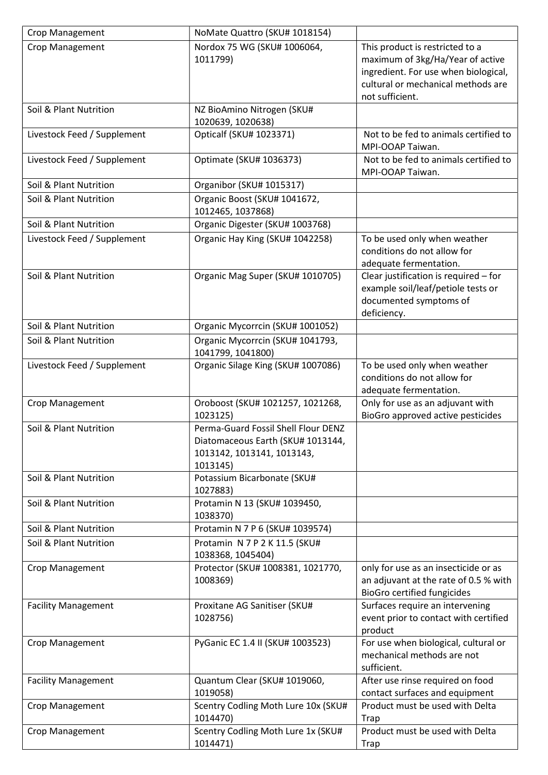| Crop Management             | NoMate Quattro (SKU# 1018154)                                                                                      |                                                                                                                                                                      |
|-----------------------------|--------------------------------------------------------------------------------------------------------------------|----------------------------------------------------------------------------------------------------------------------------------------------------------------------|
| Crop Management             | Nordox 75 WG (SKU# 1006064,<br>1011799)                                                                            | This product is restricted to a<br>maximum of 3kg/Ha/Year of active<br>ingredient. For use when biological,<br>cultural or mechanical methods are<br>not sufficient. |
| Soil & Plant Nutrition      | NZ BioAmino Nitrogen (SKU#<br>1020639, 1020638)                                                                    |                                                                                                                                                                      |
| Livestock Feed / Supplement | Opticalf (SKU# 1023371)                                                                                            | Not to be fed to animals certified to<br>MPI-OOAP Taiwan.                                                                                                            |
| Livestock Feed / Supplement | Optimate (SKU# 1036373)                                                                                            | Not to be fed to animals certified to<br>MPI-OOAP Taiwan.                                                                                                            |
| Soil & Plant Nutrition      | Organibor (SKU# 1015317)                                                                                           |                                                                                                                                                                      |
| Soil & Plant Nutrition      | Organic Boost (SKU# 1041672,<br>1012465, 1037868)                                                                  |                                                                                                                                                                      |
| Soil & Plant Nutrition      | Organic Digester (SKU# 1003768)                                                                                    |                                                                                                                                                                      |
| Livestock Feed / Supplement | Organic Hay King (SKU# 1042258)                                                                                    | To be used only when weather<br>conditions do not allow for<br>adequate fermentation.                                                                                |
| Soil & Plant Nutrition      | Organic Mag Super (SKU# 1010705)                                                                                   | Clear justification is required - for<br>example soil/leaf/petiole tests or<br>documented symptoms of<br>deficiency.                                                 |
| Soil & Plant Nutrition      | Organic Mycorrcin (SKU# 1001052)                                                                                   |                                                                                                                                                                      |
| Soil & Plant Nutrition      | Organic Mycorrcin (SKU# 1041793,<br>1041799, 1041800)                                                              |                                                                                                                                                                      |
| Livestock Feed / Supplement | Organic Silage King (SKU# 1007086)                                                                                 | To be used only when weather<br>conditions do not allow for<br>adequate fermentation.                                                                                |
| Crop Management             | Oroboost (SKU# 1021257, 1021268,<br>1023125)                                                                       | Only for use as an adjuvant with<br>BioGro approved active pesticides                                                                                                |
| Soil & Plant Nutrition      | Perma-Guard Fossil Shell Flour DENZ<br>Diatomaceous Earth (SKU# 1013144,<br>1013142, 1013141, 1013143,<br>1013145) |                                                                                                                                                                      |
| Soil & Plant Nutrition      | Potassium Bicarbonate (SKU#<br>1027883)                                                                            |                                                                                                                                                                      |
| Soil & Plant Nutrition      | Protamin N 13 (SKU# 1039450,<br>1038370)                                                                           |                                                                                                                                                                      |
| Soil & Plant Nutrition      | Protamin N 7 P 6 (SKU# 1039574)                                                                                    |                                                                                                                                                                      |
| Soil & Plant Nutrition      | Protamin N 7 P 2 K 11.5 (SKU#<br>1038368, 1045404)                                                                 |                                                                                                                                                                      |
| Crop Management             | Protector (SKU# 1008381, 1021770,<br>1008369)                                                                      | only for use as an insecticide or as<br>an adjuvant at the rate of 0.5 % with<br><b>BioGro certified fungicides</b>                                                  |
| <b>Facility Management</b>  | Proxitane AG Sanitiser (SKU#<br>1028756)                                                                           | Surfaces require an intervening<br>event prior to contact with certified<br>product                                                                                  |
| Crop Management             | PyGanic EC 1.4 II (SKU# 1003523)                                                                                   | For use when biological, cultural or<br>mechanical methods are not<br>sufficient.                                                                                    |
| <b>Facility Management</b>  | Quantum Clear (SKU# 1019060,<br>1019058)                                                                           | After use rinse required on food<br>contact surfaces and equipment                                                                                                   |
| Crop Management             | Scentry Codling Moth Lure 10x (SKU#<br>1014470)                                                                    | Product must be used with Delta<br>Trap                                                                                                                              |
| Crop Management             | Scentry Codling Moth Lure 1x (SKU#<br>1014471)                                                                     | Product must be used with Delta<br>Trap                                                                                                                              |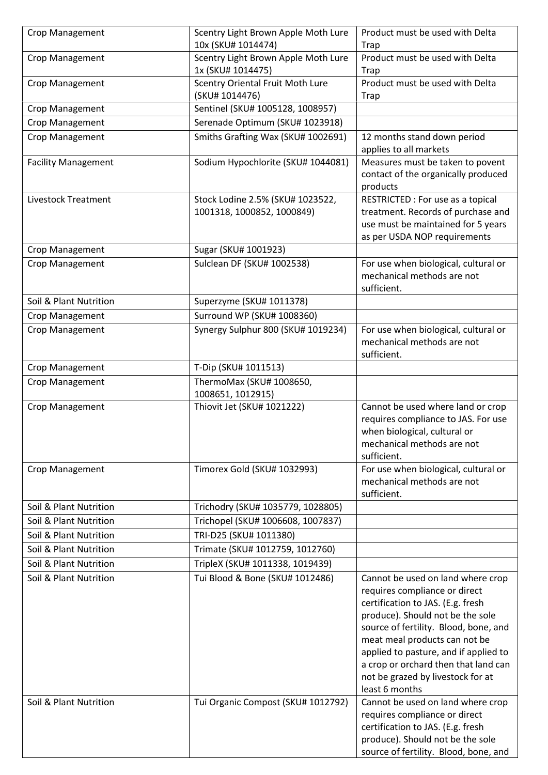| Crop Management            | Scentry Light Brown Apple Moth Lure<br>10x (SKU# 1014474)      | Product must be used with Delta<br>Trap                                                                                                                                                                                                                                                                                                                       |
|----------------------------|----------------------------------------------------------------|---------------------------------------------------------------------------------------------------------------------------------------------------------------------------------------------------------------------------------------------------------------------------------------------------------------------------------------------------------------|
| Crop Management            | Scentry Light Brown Apple Moth Lure<br>1x (SKU# 1014475)       | Product must be used with Delta<br>Trap                                                                                                                                                                                                                                                                                                                       |
| Crop Management            | Scentry Oriental Fruit Moth Lure                               | Product must be used with Delta                                                                                                                                                                                                                                                                                                                               |
|                            | (SKU# 1014476)                                                 | Trap                                                                                                                                                                                                                                                                                                                                                          |
| Crop Management            | Sentinel (SKU# 1005128, 1008957)                               |                                                                                                                                                                                                                                                                                                                                                               |
| Crop Management            | Serenade Optimum (SKU# 1023918)                                |                                                                                                                                                                                                                                                                                                                                                               |
| Crop Management            | Smiths Grafting Wax (SKU# 1002691)                             | 12 months stand down period<br>applies to all markets                                                                                                                                                                                                                                                                                                         |
| <b>Facility Management</b> | Sodium Hypochlorite (SKU# 1044081)                             | Measures must be taken to povent<br>contact of the organically produced<br>products                                                                                                                                                                                                                                                                           |
| <b>Livestock Treatment</b> | Stock Lodine 2.5% (SKU# 1023522,<br>1001318, 1000852, 1000849) | RESTRICTED : For use as a topical<br>treatment. Records of purchase and<br>use must be maintained for 5 years<br>as per USDA NOP requirements                                                                                                                                                                                                                 |
| Crop Management            | Sugar (SKU# 1001923)                                           |                                                                                                                                                                                                                                                                                                                                                               |
| Crop Management            | Sulclean DF (SKU# 1002538)                                     | For use when biological, cultural or<br>mechanical methods are not<br>sufficient.                                                                                                                                                                                                                                                                             |
| Soil & Plant Nutrition     | Superzyme (SKU# 1011378)                                       |                                                                                                                                                                                                                                                                                                                                                               |
| Crop Management            | Surround WP (SKU# 1008360)                                     |                                                                                                                                                                                                                                                                                                                                                               |
| Crop Management            | Synergy Sulphur 800 (SKU# 1019234)                             | For use when biological, cultural or<br>mechanical methods are not<br>sufficient.                                                                                                                                                                                                                                                                             |
| Crop Management            | T-Dip (SKU# 1011513)                                           |                                                                                                                                                                                                                                                                                                                                                               |
| Crop Management            | ThermoMax (SKU# 1008650,<br>1008651, 1012915)                  |                                                                                                                                                                                                                                                                                                                                                               |
| Crop Management            | Thiovit Jet (SKU# 1021222)                                     | Cannot be used where land or crop<br>requires compliance to JAS. For use<br>when biological, cultural or<br>mechanical methods are not<br>sufficient.                                                                                                                                                                                                         |
| Crop Management            | Timorex Gold (SKU# 1032993)                                    | For use when biological, cultural or<br>mechanical methods are not<br>sufficient.                                                                                                                                                                                                                                                                             |
| Soil & Plant Nutrition     | Trichodry (SKU# 1035779, 1028805)                              |                                                                                                                                                                                                                                                                                                                                                               |
| Soil & Plant Nutrition     | Trichopel (SKU# 1006608, 1007837)                              |                                                                                                                                                                                                                                                                                                                                                               |
| Soil & Plant Nutrition     | TRI-D25 (SKU# 1011380)                                         |                                                                                                                                                                                                                                                                                                                                                               |
| Soil & Plant Nutrition     | Trimate (SKU# 1012759, 1012760)                                |                                                                                                                                                                                                                                                                                                                                                               |
| Soil & Plant Nutrition     | TripleX (SKU# 1011338, 1019439)                                |                                                                                                                                                                                                                                                                                                                                                               |
| Soil & Plant Nutrition     | Tui Blood & Bone (SKU# 1012486)                                | Cannot be used on land where crop<br>requires compliance or direct<br>certification to JAS. (E.g. fresh<br>produce). Should not be the sole<br>source of fertility. Blood, bone, and<br>meat meal products can not be<br>applied to pasture, and if applied to<br>a crop or orchard then that land can<br>not be grazed by livestock for at<br>least 6 months |
| Soil & Plant Nutrition     | Tui Organic Compost (SKU# 1012792)                             | Cannot be used on land where crop<br>requires compliance or direct<br>certification to JAS. (E.g. fresh<br>produce). Should not be the sole<br>source of fertility. Blood, bone, and                                                                                                                                                                          |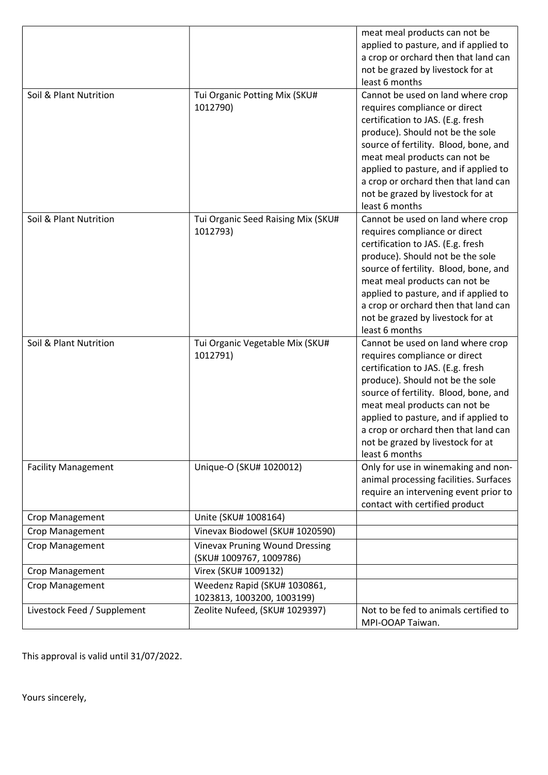|                             |                                                                  | meat meal products can not be<br>applied to pasture, and if applied to<br>a crop or orchard then that land can<br>not be grazed by livestock for at<br>least 6 months                                                                                                                                                                                         |
|-----------------------------|------------------------------------------------------------------|---------------------------------------------------------------------------------------------------------------------------------------------------------------------------------------------------------------------------------------------------------------------------------------------------------------------------------------------------------------|
| Soil & Plant Nutrition      | Tui Organic Potting Mix (SKU#<br>1012790)                        | Cannot be used on land where crop<br>requires compliance or direct<br>certification to JAS. (E.g. fresh<br>produce). Should not be the sole<br>source of fertility. Blood, bone, and<br>meat meal products can not be<br>applied to pasture, and if applied to<br>a crop or orchard then that land can<br>not be grazed by livestock for at<br>least 6 months |
| Soil & Plant Nutrition      | Tui Organic Seed Raising Mix (SKU#<br>1012793)                   | Cannot be used on land where crop<br>requires compliance or direct<br>certification to JAS. (E.g. fresh<br>produce). Should not be the sole<br>source of fertility. Blood, bone, and<br>meat meal products can not be<br>applied to pasture, and if applied to<br>a crop or orchard then that land can<br>not be grazed by livestock for at<br>least 6 months |
| Soil & Plant Nutrition      | Tui Organic Vegetable Mix (SKU#<br>1012791)                      | Cannot be used on land where crop<br>requires compliance or direct<br>certification to JAS. (E.g. fresh<br>produce). Should not be the sole<br>source of fertility. Blood, bone, and<br>meat meal products can not be<br>applied to pasture, and if applied to<br>a crop or orchard then that land can<br>not be grazed by livestock for at<br>least 6 months |
| <b>Facility Management</b>  | Unique-O (SKU# 1020012)                                          | Only for use in winemaking and non-<br>animal processing facilities. Surfaces<br>require an intervening event prior to<br>contact with certified product                                                                                                                                                                                                      |
| Crop Management             | Unite (SKU# 1008164)                                             |                                                                                                                                                                                                                                                                                                                                                               |
| Crop Management             | Vinevax Biodowel (SKU# 1020590)                                  |                                                                                                                                                                                                                                                                                                                                                               |
| Crop Management             | <b>Vinevax Pruning Wound Dressing</b><br>(SKU# 1009767, 1009786) |                                                                                                                                                                                                                                                                                                                                                               |
| Crop Management             | Virex (SKU# 1009132)                                             |                                                                                                                                                                                                                                                                                                                                                               |
| Crop Management             | Weedenz Rapid (SKU# 1030861,<br>1023813, 1003200, 1003199)       |                                                                                                                                                                                                                                                                                                                                                               |
| Livestock Feed / Supplement | Zeolite Nufeed, (SKU# 1029397)                                   | Not to be fed to animals certified to<br>MPI-OOAP Taiwan.                                                                                                                                                                                                                                                                                                     |

This approval is valid until 31/07/2022.

Yours sincerely,